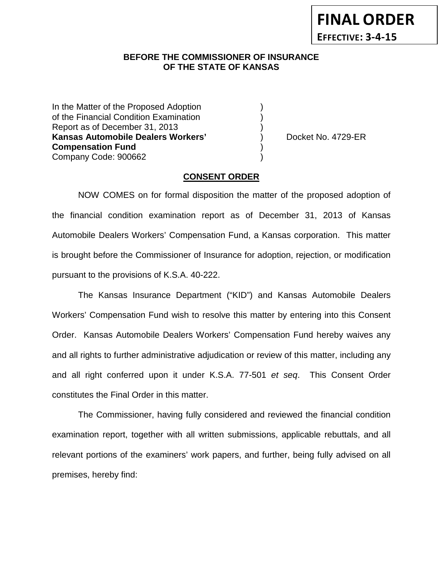**FINAL ORDER EFFECTIVE: 3-4-15**

## **BEFORE THE COMMISSIONER OF INSURANCE OF THE STATE OF KANSAS**

In the Matter of the Proposed Adoption of the Financial Condition Examination ) Report as of December 31, 2013 ) **Kansas Automobile Dealers Workers'** ) Docket No. 4729-ER **Compensation Fund** ) Company Code: 900662 )

### **CONSENT ORDER**

NOW COMES on for formal disposition the matter of the proposed adoption of the financial condition examination report as of December 31, 2013 of Kansas Automobile Dealers Workers' Compensation Fund, a Kansas corporation. This matter is brought before the Commissioner of Insurance for adoption, rejection, or modification pursuant to the provisions of K.S.A. 40-222.

The Kansas Insurance Department ("KID") and Kansas Automobile Dealers Workers' Compensation Fund wish to resolve this matter by entering into this Consent Order. Kansas Automobile Dealers Workers' Compensation Fund hereby waives any and all rights to further administrative adjudication or review of this matter, including any and all right conferred upon it under K.S.A. 77-501 *et seq*. This Consent Order constitutes the Final Order in this matter.

The Commissioner, having fully considered and reviewed the financial condition examination report, together with all written submissions, applicable rebuttals, and all relevant portions of the examiners' work papers, and further, being fully advised on all premises, hereby find: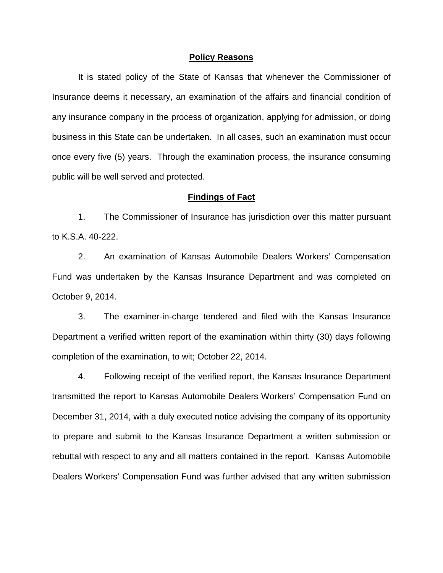#### **Policy Reasons**

It is stated policy of the State of Kansas that whenever the Commissioner of Insurance deems it necessary, an examination of the affairs and financial condition of any insurance company in the process of organization, applying for admission, or doing business in this State can be undertaken. In all cases, such an examination must occur once every five (5) years. Through the examination process, the insurance consuming public will be well served and protected.

#### **Findings of Fact**

1. The Commissioner of Insurance has jurisdiction over this matter pursuant to K.S.A. 40-222.

2. An examination of Kansas Automobile Dealers Workers' Compensation Fund was undertaken by the Kansas Insurance Department and was completed on October 9, 2014.

3. The examiner-in-charge tendered and filed with the Kansas Insurance Department a verified written report of the examination within thirty (30) days following completion of the examination, to wit; October 22, 2014.

4. Following receipt of the verified report, the Kansas Insurance Department transmitted the report to Kansas Automobile Dealers Workers' Compensation Fund on December 31, 2014, with a duly executed notice advising the company of its opportunity to prepare and submit to the Kansas Insurance Department a written submission or rebuttal with respect to any and all matters contained in the report. Kansas Automobile Dealers Workers' Compensation Fund was further advised that any written submission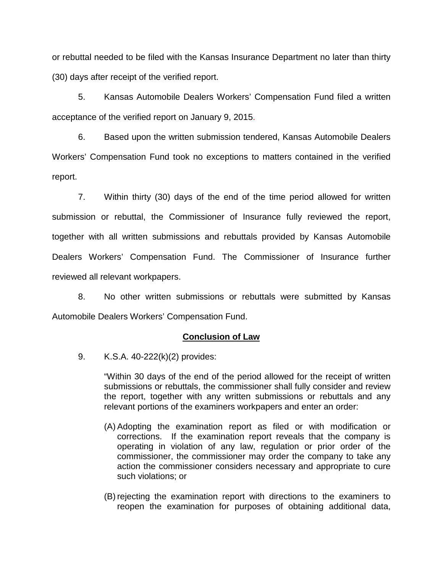or rebuttal needed to be filed with the Kansas Insurance Department no later than thirty (30) days after receipt of the verified report.

5. Kansas Automobile Dealers Workers' Compensation Fund filed a written acceptance of the verified report on January 9, 2015.

6. Based upon the written submission tendered, Kansas Automobile Dealers Workers' Compensation Fund took no exceptions to matters contained in the verified report.

7. Within thirty (30) days of the end of the time period allowed for written submission or rebuttal, the Commissioner of Insurance fully reviewed the report, together with all written submissions and rebuttals provided by Kansas Automobile Dealers Workers' Compensation Fund. The Commissioner of Insurance further reviewed all relevant workpapers.

8. No other written submissions or rebuttals were submitted by Kansas Automobile Dealers Workers' Compensation Fund.

## **Conclusion of Law**

9. K.S.A. 40-222(k)(2) provides:

"Within 30 days of the end of the period allowed for the receipt of written submissions or rebuttals, the commissioner shall fully consider and review the report, together with any written submissions or rebuttals and any relevant portions of the examiners workpapers and enter an order:

- (A) Adopting the examination report as filed or with modification or corrections. If the examination report reveals that the company is operating in violation of any law, regulation or prior order of the commissioner, the commissioner may order the company to take any action the commissioner considers necessary and appropriate to cure such violations; or
- (B) rejecting the examination report with directions to the examiners to reopen the examination for purposes of obtaining additional data,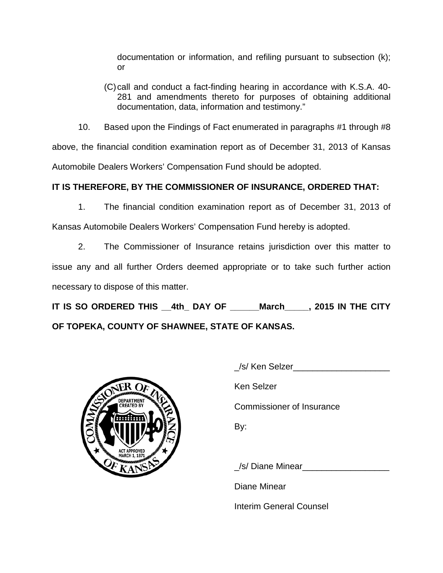documentation or information, and refiling pursuant to subsection (k); or

(C)call and conduct a fact-finding hearing in accordance with K.S.A. 40- 281 and amendments thereto for purposes of obtaining additional documentation, data, information and testimony."

10. Based upon the Findings of Fact enumerated in paragraphs #1 through #8

above, the financial condition examination report as of December 31, 2013 of Kansas Automobile Dealers Workers' Compensation Fund should be adopted.

# **IT IS THEREFORE, BY THE COMMISSIONER OF INSURANCE, ORDERED THAT:**

1. The financial condition examination report as of December 31, 2013 of

Kansas Automobile Dealers Workers' Compensation Fund hereby is adopted.

2. The Commissioner of Insurance retains jurisdiction over this matter to issue any and all further Orders deemed appropriate or to take such further action necessary to dispose of this matter.

**IT IS SO ORDERED THIS \_\_4th\_ DAY OF \_\_\_\_\_\_March\_\_\_\_\_, 2015 IN THE CITY OF TOPEKA, COUNTY OF SHAWNEE, STATE OF KANSAS.**



| /s/ Ken Selzer            |
|---------------------------|
| Ken Selzer                |
| Commissioner of Insurance |
| By:                       |
|                           |

/s/ Diane Minear

Diane Minear

Interim General Counsel